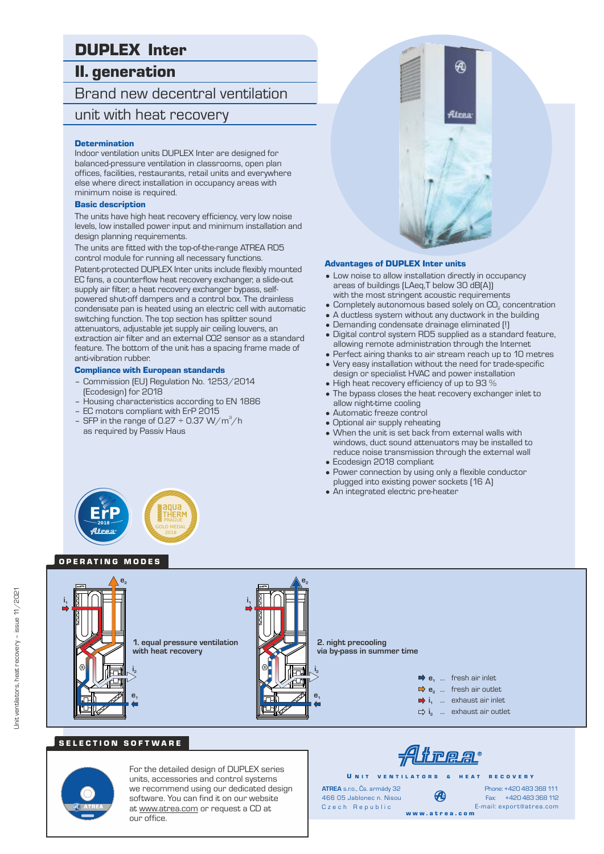# DUPLEX Inter

# II. generation

# Brand new decentral ventilation unit with heat recovery

#### **Determination**

Indoor ventilation units DUPLEX Inter are designed for balanced-pressure ventilation in classrooms, open plan offices, facilities, restaurants, retail units and everywhere else where direct installation in occupancy areas with minimum noise is required.

#### Basic description

The units have high heat recovery efficiency, very low noise levels, low installed power input and minimum installation and design planning requirements.

The units are fitted with the top-of-the-range ATREA RD5 control module for running all necessary functions.

Patent-protected DUPLEX Inter units include flexibly mounted EC fans, a counterflow heat recovery exchanger, a slide-out supply air filter, a heat recovery exchanger bypass, selfpowered shut-off dampers and a control box. The drainless condensate pan is heated using an electric cell with automatic switching function. The top section has splitter sound attenuators, adjustable jet supply air ceiling louvers, an extraction air filter and an external CO2 sensor as a standard feature. The bottom of the unit has a spacing frame made of anti-vibration rubber.

#### Compliance with European standards

- Commission (EU) Regulation No. 1253/2014 (Ecodesign) for 2018
- Housing characteristics according to EN 1886
- EC motors compliant with ErP 2015
- SFP in the range of 0.27  $\div$  0.37 W/m<sup>3</sup>/h as required by Passiv Haus



#### Advantages of DUPLEX Inter units

- Low noise to allow installation directly in occupancy areas of buildings (LAeq,T below 30 dB(A)) with the most stringent acoustic requirements
- $\bullet$  Completely autonomous based solely on CO<sub>2</sub> concentration
- A ductless system without any ductwork in the building
- Demanding condensate drainage eliminated (!)
- Digital control system RD5 supplied as a standard feature, allowing remote administration through the Internet
- Perfect airing thanks to air stream reach up to 10 metres
- Very easy installation without the need for trade-specific design or specialist HVAC and power installation
- High heat recovery efficiency of up to 93 %
- The bypass closes the heat recovery exchanger inlet to allow night-time cooling
- Automatic freeze control
- Optional air supply reheating
- When the unit is set back from external walls with windows, duct sound attenuators may be installed to reduce noise transmission through the external wall • Ecodesign 2018 compliant
- Power connection by using only a flexible conductor
- plugged into existing power sockets (16 A)
- An integrated electric pre-heater



### OPERATING MODES



### SELECTION SOFTWARE



For the detailed design of DUPLEX series units, accessories and control systems we recommend using our dedicated design software. You can find it on our website at www.atrea.com or request a CD at our office.



w w w . a t r e a . c o m

U N IT VENTILATORS & HEAT RECOVERY **ATREA** s.r.o., Čs. armády 32 466 05 Jablonec n. Nisou

Czech Republic

Fax: +420 483 368 112 Phone: +420 483 368 111 E-mail: export@atrea.com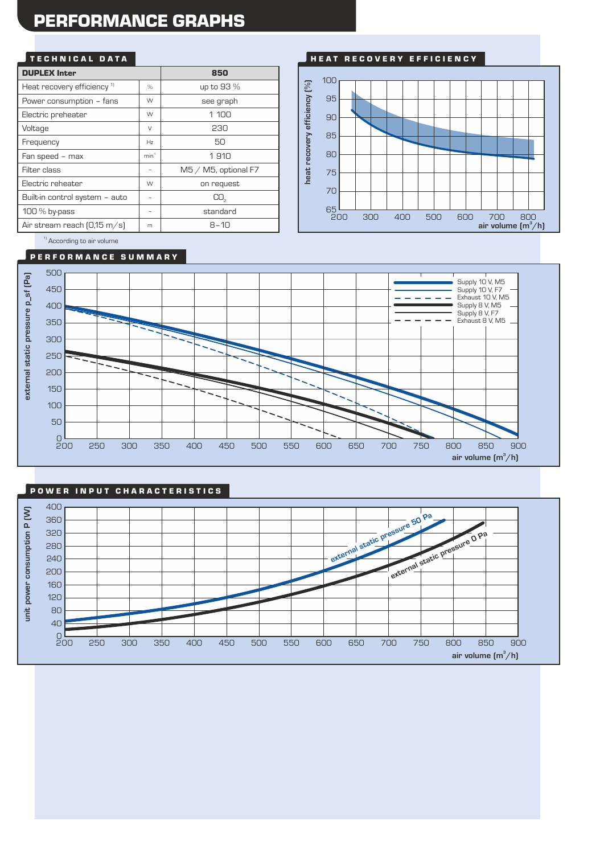# PERFORMANCE GRAPHS

### TECHNICAL DATA

| <b>DUPLEX Inter</b>                    |                  | 850                     |
|----------------------------------------|------------------|-------------------------|
| Heat recovery efficiency <sup>1)</sup> | $\%$             | up to 93 %              |
| Power consumption - fans               | W                | see graph               |
| Electric preheater                     | W                | 1 100                   |
| Voltage                                | $\vee$           | 230                     |
| Frequency                              | Hz               | 50                      |
| Fan speed - max                        | min <sup>1</sup> | 1910                    |
| Filter class                           |                  | $M5 / M5$ , optional F7 |
| Electric reheater                      | W                | on request              |
| Built-in control system - auto         |                  | CO <sub>2</sub>         |
| 100 $%$ by-pass                        | -                | standard                |
| Air stream reach $[0.15 \text{ m/s}]$  | m                | 8–10                    |



<sup>1)</sup> According to air volume

#### P E R F O R M A N C E S U M M A R Y



### POWER INPUT CHARACTERISTICS

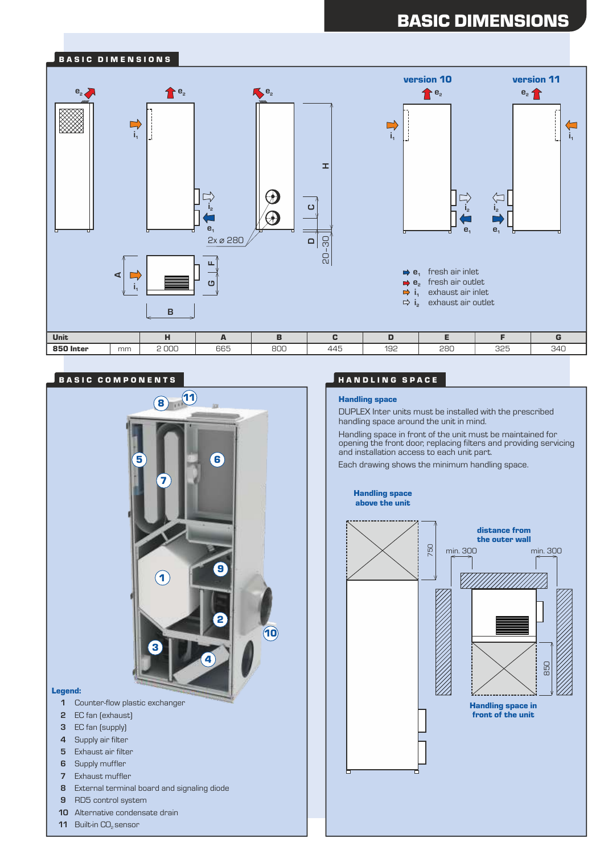# BASIC DIMENSIONS



### BASIC COMPONENTS **A SECOND A SECOND A SECOND A** HANDLING SPACE



- **2** EC fan (exhaust)
- **3** EC fan (supply)
- **4** Supply air filter
- **5** Exhaust air filter
- **6** Supply muffler
- **7** Exhaust muffler
- **8** External terminal board and signaling diode
- **9** RD5 control system
- **10** Alternative condensate drain
- **11** Built-in CO<sub>2</sub> sensor

#### Handling space

DUPLEX Inter units must be installed with the prescribed handling space around the unit in mind.

Handling space in front of the unit must be maintained for opening the front door, replacing filters and providing servicing and installation access to each unit part.

Each drawing shows the minimum handling space.

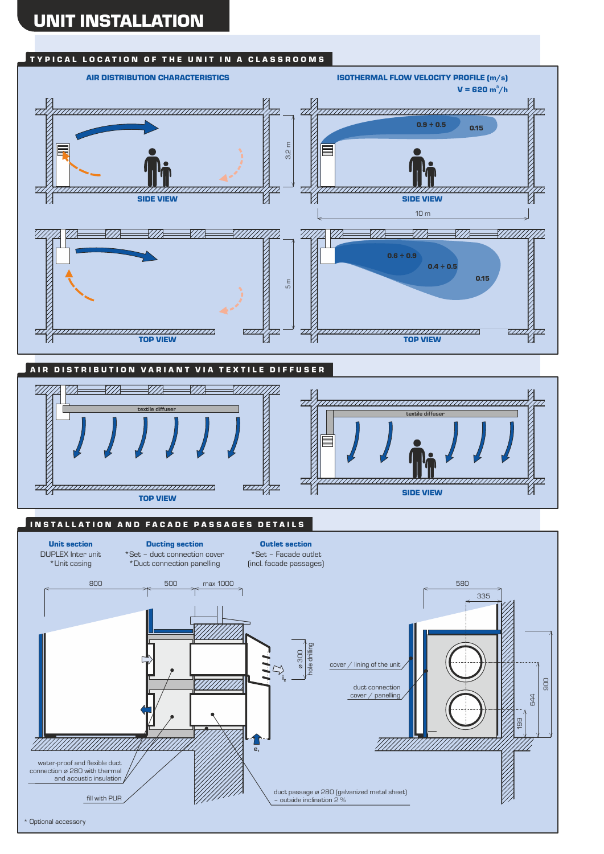### TYPICAL LOCATION OF THE UNIT IN A CLASSROOMS

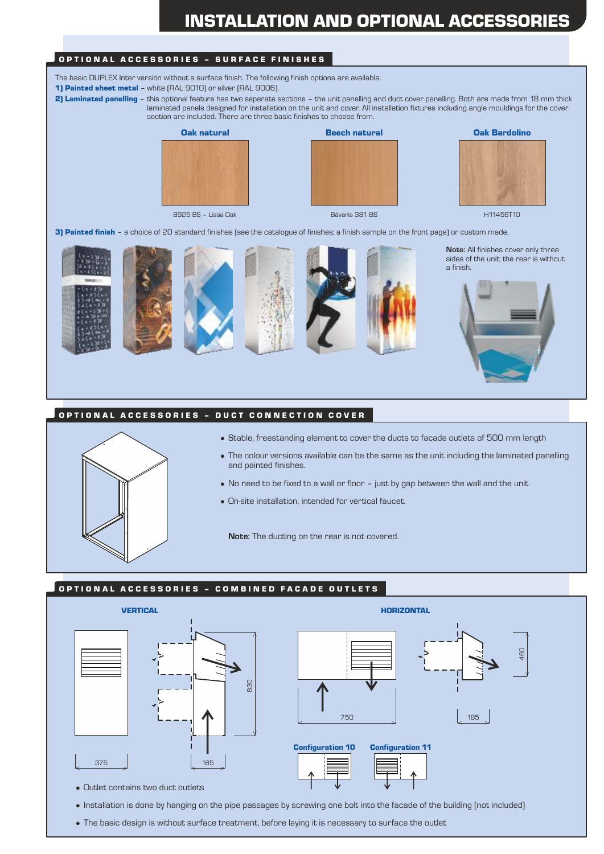# INSTALLATION AND OPTIONAL ACCESSORIES

### OPTIONAL ACCESSORIES - SURFACE FINISHES

The basic DUPLEX Inter version without a surface finish. The following finish options are available:

- 1) Painted sheet metal white (RAL 9010) or silver (RAL 9006).
- 2) Laminated panelling this optional feature has two separate sections the unit panelling and duct cover panelling. Both are made from 18 mm thick laminated panels designed for installation on the unit and cover. All installation fixtures including angle mouldings for the cover section are included. There are three basic finishes to choose from.



8925 BS – Lissa Oak Bávaria 381 BS H1145ST10

Oak natural Beech natural Oak Bardolino





3) Painted finish - a choice of 20 standard finishes (see the catalogue of finishes; a finish sample on the front page) or custom made.











**Note:** All finishes cover only three sides of the unit; the rear is without a finish.



### OPTIONAL ACCESSORIES - DUCT CONNECTION COVER



- Stable, freestanding element to cover the ducts to facade outlets of 500 mm length
- The colour versions available can be the same as the unit including the laminated panelling and painted finishes.
- No need to be fixed to a wall or floor just by gap between the wall and the unit.
- On-site installation, intended for vertical faucet.

**Note:** The ducting on the rear is not covered.

#### OPTIONAL ACCESSORIES - COMBINED FACADE OUTLETS



• Installation is done by hanging on the pipe passages by screwing one bolt into the facade of the building (not included)

• The basic design is without surface treatment, before laying it is necessary to surface the outlet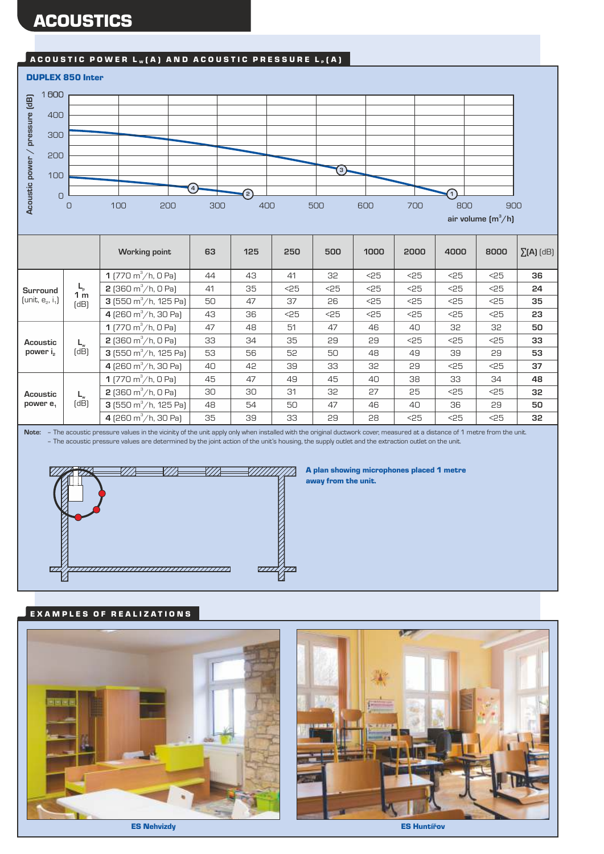# **ACOUSTICS**

# A COUSTIC POWER  $L_w(A)$  and acoustic pressure  $L_p(A)$



|                                    |                                       | <b>Working point</b>                   | 63 | 125 | 250  | 500  | 1000 | 2000 | 4000 | 8000 | $\Sigma(A)$ (dB) |
|------------------------------------|---------------------------------------|----------------------------------------|----|-----|------|------|------|------|------|------|------------------|
| Surround<br>[unit, $e_2$ , $i_1$ ] | $L_{\rm p}$<br>1 <sub>m</sub><br>(dB) | 1 (770 m <sup>3</sup> /h, 0 Pa)        | 44 | 43  | 41   | 32   | $25$ | 25   | $25$ | $25$ | 36               |
|                                    |                                       | <b>2</b> (360 m <sup>3</sup> /h, 0 Pa) | 41 | 35  | $25$ | $25$ | $25$ | $25$ | $25$ | $25$ | 24               |
|                                    |                                       | 3 (550 m <sup>3</sup> /h, 125 Pa)      | 50 | 47  | 37   | 26   | $25$ | $25$ | $25$ | $25$ | 35               |
|                                    |                                       | 4 (260 m <sup>3</sup> /h, 30 Pa)       | 43 | 36  | $25$ | $25$ | $25$ | $25$ | $25$ | $25$ | 23               |
| Acoustic<br>power i <sub>2</sub>   |                                       | 1 (770 m <sup>3</sup> /h, 0 Pa)        | 47 | 48  | 51   | 47   | 46   | 40   | 32   | 32   | 50               |
|                                    | $L_w$<br>(dB)                         | <b>2</b> (360 m <sup>3</sup> /h, 0 Pa) | 33 | 34  | 35   | 29   | 29   | $25$ | $25$ | $25$ | 33               |
|                                    |                                       | 3 (550 m <sup>3</sup> /h, 125 Pa)      | 53 | 56  | 52   | 50   | 48   | 49   | 39   | 29   | 53               |
|                                    |                                       | 4 (260 m <sup>3</sup> /h, 30 Pa)       | 40 | 42  | 39   | 33   | 32   | 29   | $25$ | $25$ | 37               |
| Acoustic<br>power $e_1$            | $\mathsf{L}_{\mathsf{w}}$<br>(dB)     | 1 (770 m <sup>3</sup> /h, 0 Pa)        | 45 | 47  | 49   | 45   | 40   | 38   | 33   | 34   | 48               |
|                                    |                                       | <b>2</b> (360 m <sup>3</sup> /h, 0 Pa) | 30 | 30  | 31   | 32   | 27   | 25   | $25$ | $25$ | 32               |
|                                    |                                       | 3 (550 m <sup>3</sup> /h, 125 Pa)      | 48 | 54  | 50   | 47   | 46   | 40   | 36   | 29   | 50               |
|                                    |                                       | 4 (260 m <sup>3</sup> /h, 30 Pa)       | 35 | 39  | 33   | 29   | 28   | $25$ | $25$ | $25$ | 32               |

**Note:** – The acoustic pressure values in the vicinity of the unit apply only when installed with the original ductwork cover, measured at a distance of 1 metre from the unit. – The acoustic pressure values are determined by the joint action of the unit's housing, the supply outlet and the extraction outlet on the unit.



#### A plan showing microphones placed 1 metre away from the unit.

## EXAMPLES OF REALIZATIONS

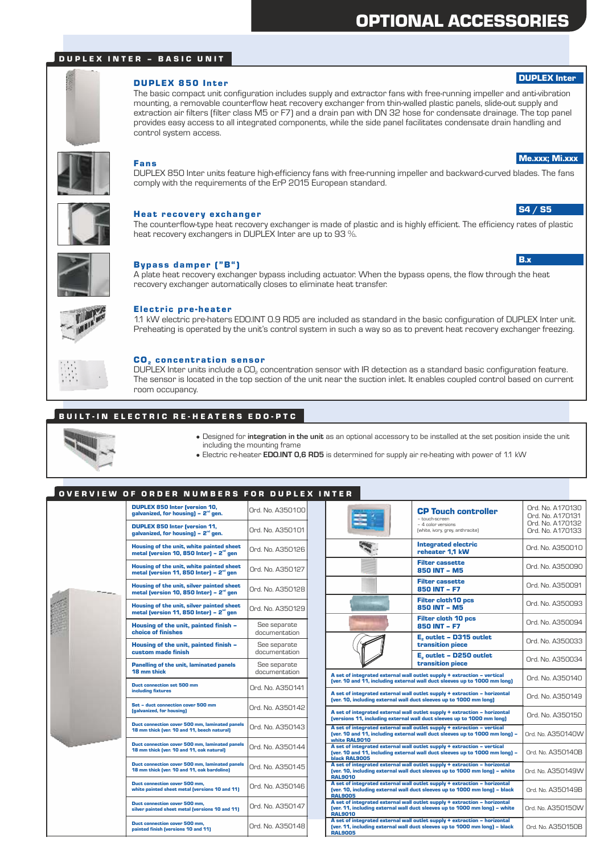# OPTIONAL ACCESSORIES

### D U P L E X I N T E R – BAS I C U N I T



### DUPLEX 850 Inter

The basic compact unit configuration includes supply and extractor fans with free-running impeller and anti-vibration mounting, a removable counterflow heat recovery exchanger from thin-walled plastic panels, slide-out supply and extraction air filters (filter class M5 or F7) and a drain pan with DN 32 hose for condensate drainage. The top panel provides easy access to all integrated components, while the side panel facilitates condensate drain handling and control system access.



#### Fans

DUPLEX 850 Inter units feature high-efficiency fans with free-running impeller and backward-curved blades. The fans comply with the requirements of the ErP 2015 European standard.



#### Heat recovery exchanger

The counterflow-type heat recovery exchanger is made of plastic and is highly efficient. The efficiency rates of plastic heat recovery exchangers in DUPLEX Inter are up to 93 %.



#### Bypass damper ("B")

A plate heat recovery exchanger bypass including actuator. When the bypass opens, the flow through the heat recovery exchanger automatically closes to eliminate heat transfer.



#### Electric pre-heater

1.1 kW electric pre-haters EDO.INT 0.9 RD5 are included as standard in the basic configuration of DUPLEX Inter unit. Preheating is operated by the unit's control system in such a way so as to prevent heat recovery exchanger freezing.

| ı<br>٠<br>٠  |  |
|--------------|--|
| ł.<br>ï<br>ı |  |
|              |  |
| ı<br>۰<br>ī  |  |
| ı            |  |

#### CO<sub>2</sub> concentration sensor

DUPLEX Inter units include a CO<sub>2</sub> concentration sensor with IR detection as a standard basic configuration feature. The sensor is located in the top section of the unit near the suction inlet. It enables coupled control based on current room occupancy.

### BUILT-IN ELECTRIC RE-HEATERS EDO-PTC



- Designed for **integration in the unit** as an optional accessory to be installed at the set position inside the unit including the mounting frame
	- Electric re-heater **EDO.INT 0,6 RD5** is determined for supply air re-heating with power of 1.1 kW

### O V E R V I E W O F O R D E R N U M B E R S F O R D U P L E X I N T E R .

|  | <b>DUPLEX 850 Inter (version 10,</b><br>galvanized, for housing) $-2nd$ gen.                     | Ord. No. A350100              |  |  |
|--|--------------------------------------------------------------------------------------------------|-------------------------------|--|--|
|  | <b>DUPLEX 850 Inter (version 11,</b><br>galvanized, for housing) $-2nd$ gen.                     | Ord. No. A350101              |  |  |
|  | Housing of the unit, white painted sheet<br>metal (version 10, 850 Inter) - 2 <sup>nd</sup> gen  | Ord. No. A350126              |  |  |
|  | Housing of the unit, white painted sheet<br>metal (version 11, 850 Inter) - 2 <sup>nd</sup> gen  | Ord. No. A350127              |  |  |
|  | Housing of the unit, silver painted sheet<br>metal (version 10, 850 Inter) - 2 <sup>nd</sup> gen | Ord. No. A350128              |  |  |
|  | Housing of the unit, silver painted sheet<br>metal (version 11, 850 Inter) - $2nd$ gen           | Ord. No. A350129              |  |  |
|  | Housing of the unit, painted finish -<br>choice of finishes                                      | See separate<br>documentation |  |  |
|  | Housing of the unit, painted finish -<br>custom made finish                                      | See separate<br>documentation |  |  |
|  | <b>Panelling of the unit, laminated panels</b><br>18 mm thick                                    | See separate<br>documentation |  |  |
|  | Duct connection set 500 mm<br>including fixtures                                                 | Ord. No. A350141              |  |  |
|  | Set - duct connection cover 500 mm<br>(galvanized, for housing)                                  | Ord. No. A350142              |  |  |
|  | Duct connection cover 500 mm, laminated panels<br>18 mm thick (ver. 10 and 11, beech natural)    | Ord. No. A350143              |  |  |
|  | Duct connection cover 500 mm, laminated panels<br>18 mm thick (ver. 10 and 11, oak natural)      | Ord. No. A350144              |  |  |
|  | Duct connection cover 500 mm, laminated panels<br>18 mm thick (ver. 10 and 11, oak bardolino)    | Ord. No. A350145              |  |  |
|  | Duct connection cover 500 mm,<br>white painted sheet metal (versions 10 and 11)                  | Ord. No. A350146              |  |  |
|  | Duct connection cover 500 mm.<br>silver painted sheet metal (versions 10 and 11)                 | Ord. No. A350147              |  |  |
|  | Duct connection cover 500 mm,<br>painted finish (versions 10 and 11)                             | Ord. No. A350148              |  |  |

|                                                                                                                                                                           | <b>CP Touch controller</b><br>- touch-screen<br>- 4 color versions<br>(white, ivory, grey, anthracite) | Ord. No. A170130<br>Ord. No. A170131<br>Ord. No. A170132<br>Ord. No. A170133 |
|---------------------------------------------------------------------------------------------------------------------------------------------------------------------------|--------------------------------------------------------------------------------------------------------|------------------------------------------------------------------------------|
|                                                                                                                                                                           | <b>Integrated electric</b><br>reheater 1.1 kW                                                          | Ord. No. A350010                                                             |
|                                                                                                                                                                           | <b>Filter cassette</b><br>850 INT - M5                                                                 | Ord. No. A350090                                                             |
|                                                                                                                                                                           | <b>Filter cassette</b><br>850 INT - F7                                                                 | Ord. No. A350091                                                             |
|                                                                                                                                                                           | <b>Filter cloth10 pcs</b><br><b>850 INT - M5</b>                                                       | Ord, No. A350093                                                             |
|                                                                                                                                                                           | <b>Filter cloth 10 pcs</b><br>850 INT - F7                                                             |                                                                              |
|                                                                                                                                                                           | E, outlet - D315 outlet<br>transition piece                                                            | Ord. No. A350033                                                             |
|                                                                                                                                                                           | E, outlet - D250 outlet<br>transition piece                                                            | Ord. No. A350034                                                             |
| A set of integrated external wall outlet supply + extraction - vertical<br>(ver. 10 and 11, including external wall duct sleeves up to 1000 mm long)                      | Ord. No. A350140                                                                                       |                                                                              |
| A set of integrated external wall outlet supply + extraction - horizontal<br>(ver. 10, including external wall duct sleeves up to 1000 mm long)                           |                                                                                                        | Ord No 4350149                                                               |
| A set of integrated external wall outlet supply + extraction - horizontal<br>(versions 11, including external wall duct sleeves up to 1000 mm long)                       |                                                                                                        | Ord. No. A350150                                                             |
| A set of integrated external wall outlet supply + extraction - vertical<br>(ver. 10 and 11, including external wall duct sleeves up to 1000 mm long) -<br>white RAL9010   |                                                                                                        | Ord. No. A350140W                                                            |
| A set of integrated external wall outlet supply + extraction - vertical<br>(ver. 10 and 11, including external wall duct sleeves up to 1000 mm long) -<br>black RAL9005   | Ord. No. A350140B                                                                                      |                                                                              |
| A set of integrated external wall outlet supply + extraction - horizontal<br>(ver. 10, including external wall duct sleeves up to 1000 mm long) - white<br><b>RAL9010</b> | Ord. No. A350149W                                                                                      |                                                                              |
| A set of integrated external wall outlet supply + extraction - horizontal<br>(ver. 10, including external wall duct sleeves up to 1000 mm long) - black<br><b>RAL9005</b> | Ord. No. A350149B                                                                                      |                                                                              |
| A set of integrated external wall outlet supply + extraction - horizontal<br>(ver. 11, including external wall duct sleeves up to 1000 mm long) - white<br><b>RAL9010</b> | Ord. No. A350150W                                                                                      |                                                                              |
| A set of integrated external wall outlet supply + extraction - horizontal<br>(ver. 11, including external wall duct sleeves up to 1000 mm long) - black<br><b>RAL9005</b> | Ord. No. A350150B                                                                                      |                                                                              |

#### DUPLEX Inter

Me.xxx; Mi.xxx

S4 / S5

B.x